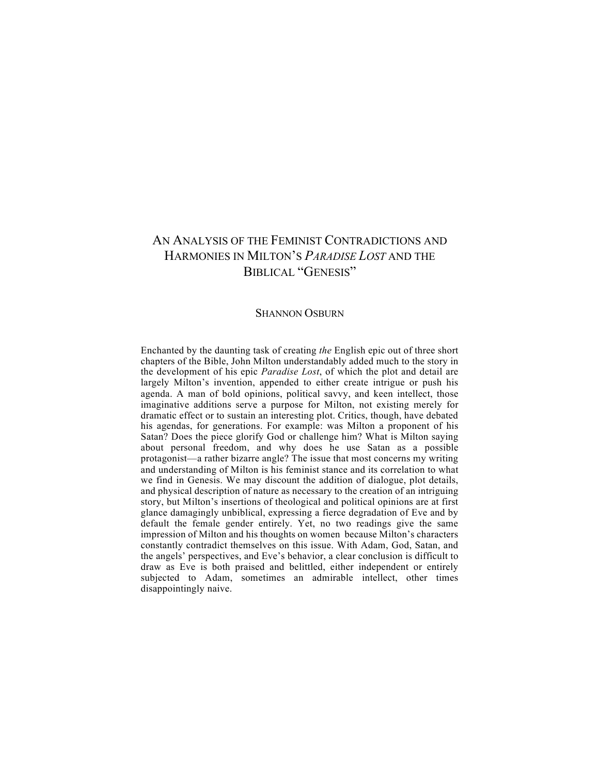## AN ANALYSIS OF THE FEMINIST CONTRADICTIONS AND HARMONIES IN MILTON'S *PARADISE LOST* AND THE BIBLICAL "GENESIS"

## SHANNON OSBURN

Enchanted by the daunting task of creating *the* English epic out of three short chapters of the Bible, John Milton understandably added much to the story in the development of his epic *Paradise Lost*, of which the plot and detail are largely Milton's invention, appended to either create intrigue or push his agenda. A man of bold opinions, political savvy, and keen intellect, those imaginative additions serve a purpose for Milton, not existing merely for dramatic effect or to sustain an interesting plot. Critics, though, have debated his agendas, for generations. For example: was Milton a proponent of his Satan? Does the piece glorify God or challenge him? What is Milton saying about personal freedom, and why does he use Satan as a possible protagonist—a rather bizarre angle? The issue that most concerns my writing and understanding of Milton is his feminist stance and its correlation to what we find in Genesis. We may discount the addition of dialogue, plot details, and physical description of nature as necessary to the creation of an intriguing story, but Milton's insertions of theological and political opinions are at first glance damagingly unbiblical, expressing a fierce degradation of Eve and by default the female gender entirely. Yet, no two readings give the same impression of Milton and his thoughts on women because Milton's characters constantly contradict themselves on this issue. With Adam, God, Satan, and the angels' perspectives, and Eve's behavior, a clear conclusion is difficult to draw as Eve is both praised and belittled, either independent or entirely subjected to Adam, sometimes an admirable intellect, other times disappointingly naive.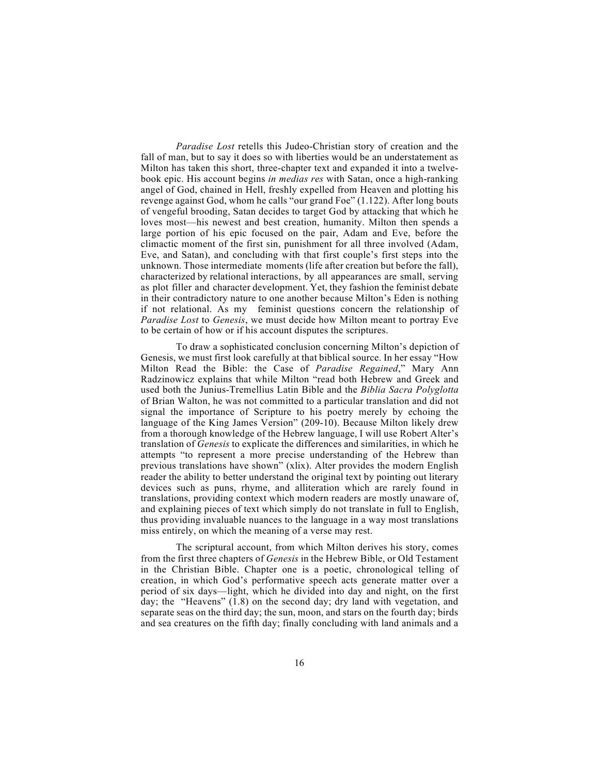*Paradise Lost* retells this Judeo-Christian story of creation and the fall of man, but to say it does so with liberties would be an understatement as Milton has taken this short, three-chapter text and expanded it into a twelvebook epic. His account begins *in medias res* with Satan, once a high-ranking angel of God, chained in Hell, freshly expelled from Heaven and plotting his revenge against God, whom he calls "our grand Foe" (1.122). After long bouts of vengeful brooding, Satan decides to target God by attacking that which he loves most—his newest and best creation, humanity. Milton then spends a large portion of his epic focused on the pair, Adam and Eve, before the climactic moment of the first sin, punishment for all three involved (Adam, Eve, and Satan), and concluding with that first couple's first steps into the unknown. Those intermediate moments (life after creation but before the fall), characterized by relational interactions, by all appearances are small, serving as plot filler and character development. Yet, they fashion the feminist debate in their contradictory nature to one another because Milton's Eden is nothing if not relational. As my feminist questions concern the relationship of *Paradise Lost* to *Genesis*, we must decide how Milton meant to portray Eve to be certain of how or if his account disputes the scriptures.

To draw a sophisticated conclusion concerning Milton's depiction of Genesis, we must first look carefully at that biblical source. In her essay "How Milton Read the Bible: the Case of *Paradise Regained*," Mary Ann Radzinowicz explains that while Milton "read both Hebrew and Greek and used both the Junius-Tremellius Latin Bible and the *Biblia Sacra Polyglotta*  of Brian Walton, he was not committed to a particular translation and did not signal the importance of Scripture to his poetry merely by echoing the language of the King James Version" (209-10). Because Milton likely drew from a thorough knowledge of the Hebrew language, I will use Robert Alter's translation of *Genesis* to explicate the differences and similarities, in which he attempts "to represent a more precise understanding of the Hebrew than previous translations have shown" (xlix). Alter provides the modern English reader the ability to better understand the original text by pointing out literary devices such as puns, rhyme, and alliteration which are rarely found in translations, providing context which modern readers are mostly unaware of, and explaining pieces of text which simply do not translate in full to English, thus providing invaluable nuances to the language in a way most translations miss entirely, on which the meaning of a verse may rest.

The scriptural account, from which Milton derives his story, comes from the first three chapters of *Genesis* in the Hebrew Bible, or Old Testament in the Christian Bible. Chapter one is a poetic, chronological telling of creation, in which God's performative speech acts generate matter over a period of six days—light, which he divided into day and night, on the first day; the "Heavens" (1.8) on the second day; dry land with vegetation, and separate seas on the third day; the sun, moon, and stars on the fourth day; birds and sea creatures on the fifth day; finally concluding with land animals and a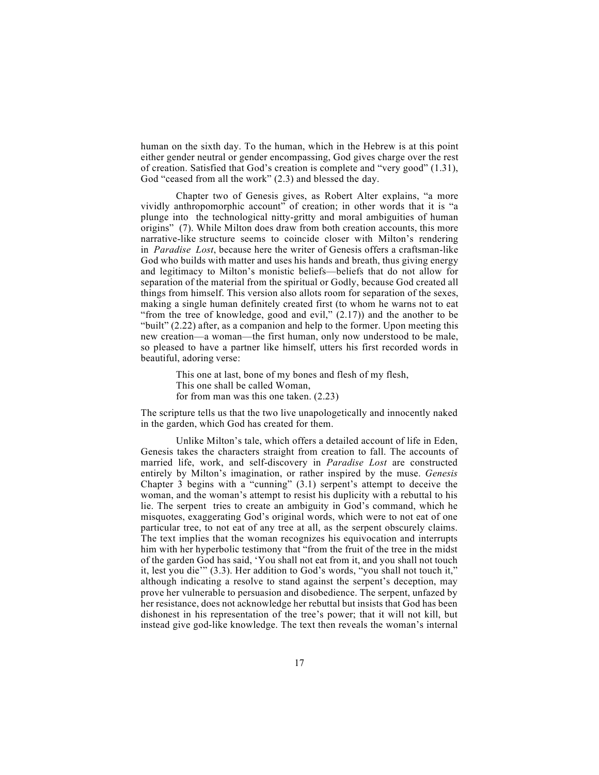human on the sixth day. To the human, which in the Hebrew is at this point either gender neutral or gender encompassing, God gives charge over the rest of creation. Satisfied that God's creation is complete and "very good" (1.31), God "ceased from all the work" (2.3) and blessed the day.

Chapter two of Genesis gives, as Robert Alter explains, "a more vividly anthropomorphic account" of creation; in other words that it is "a plunge into the technological nitty-gritty and moral ambiguities of human origins" (7). While Milton does draw from both creation accounts, this more narrative-like structure seems to coincide closer with Milton's rendering in *Paradise Lost*, because here the writer of Genesis offers a craftsman-like God who builds with matter and uses his hands and breath, thus giving energy and legitimacy to Milton's monistic beliefs—beliefs that do not allow for separation of the material from the spiritual or Godly, because God created all things from himself. This version also allots room for separation of the sexes, making a single human definitely created first (to whom he warns not to eat "from the tree of knowledge, good and evil,"  $(2.17)$ ) and the another to be "built" (2.22) after, as a companion and help to the former. Upon meeting this new creation—a woman—the first human, only now understood to be male, so pleased to have a partner like himself, utters his first recorded words in beautiful, adoring verse:

> This one at last, bone of my bones and flesh of my flesh, This one shall be called Woman, for from man was this one taken. (2.23)

The scripture tells us that the two live unapologetically and innocently naked in the garden, which God has created for them.

Unlike Milton's tale, which offers a detailed account of life in Eden, Genesis takes the characters straight from creation to fall. The accounts of married life, work, and self-discovery in *Paradise Lost* are constructed entirely by Milton's imagination, or rather inspired by the muse. *Genesis*  Chapter 3 begins with a "cunning" (3.1) serpent's attempt to deceive the woman, and the woman's attempt to resist his duplicity with a rebuttal to his lie. The serpent tries to create an ambiguity in God's command, which he misquotes, exaggerating God's original words, which were to not eat of one particular tree, to not eat of any tree at all, as the serpent obscurely claims. The text implies that the woman recognizes his equivocation and interrupts him with her hyperbolic testimony that "from the fruit of the tree in the midst of the garden God has said, 'You shall not eat from it, and you shall not touch it, lest you die'" (3.3). Her addition to God's words, "you shall not touch it," although indicating a resolve to stand against the serpent's deception, may prove her vulnerable to persuasion and disobedience. The serpent, unfazed by her resistance, does not acknowledge her rebuttal but insists that God has been dishonest in his representation of the tree's power; that it will not kill, but instead give god-like knowledge. The text then reveals the woman's internal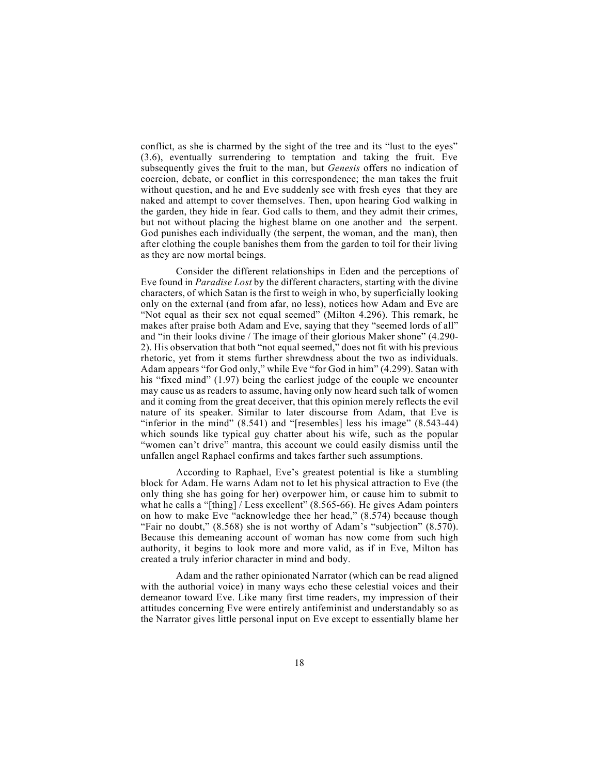conflict, as she is charmed by the sight of the tree and its "lust to the eyes" (3.6), eventually surrendering to temptation and taking the fruit. Eve subsequently gives the fruit to the man, but *Genesis* offers no indication of coercion, debate, or conflict in this correspondence; the man takes the fruit without question, and he and Eve suddenly see with fresh eyes that they are naked and attempt to cover themselves. Then, upon hearing God walking in the garden, they hide in fear. God calls to them, and they admit their crimes, but not without placing the highest blame on one another and the serpent. God punishes each individually (the serpent, the woman, and the man), then after clothing the couple banishes them from the garden to toil for their living as they are now mortal beings.

Consider the different relationships in Eden and the perceptions of Eve found in *Paradise Lost* by the different characters, starting with the divine characters, of which Satan is the first to weigh in who, by superficially looking only on the external (and from afar, no less), notices how Adam and Eve are "Not equal as their sex not equal seemed" (Milton 4.296). This remark, he makes after praise both Adam and Eve, saying that they "seemed lords of all" and "in their looks divine / The image of their glorious Maker shone" (4.290- 2). His observation that both "not equal seemed," does not fit with his previous rhetoric, yet from it stems further shrewdness about the two as individuals. Adam appears "for God only," while Eve "for God in him" (4.299). Satan with his "fixed mind" (1.97) being the earliest judge of the couple we encounter may cause us as readers to assume, having only now heard such talk of women and it coming from the great deceiver, that this opinion merely reflects the evil nature of its speaker. Similar to later discourse from Adam, that Eve is "inferior in the mind"  $(8.541)$  and "[resembles] less his image"  $(8.543-44)$ which sounds like typical guy chatter about his wife, such as the popular "women can't drive" mantra, this account we could easily dismiss until the unfallen angel Raphael confirms and takes farther such assumptions.

According to Raphael, Eve's greatest potential is like a stumbling block for Adam. He warns Adam not to let his physical attraction to Eve (the only thing she has going for her) overpower him, or cause him to submit to what he calls a "[thing] / Less excellent" (8.565-66). He gives Adam pointers on how to make Eve "acknowledge thee her head," (8.574) because though "Fair no doubt," (8.568) she is not worthy of Adam's "subjection" (8.570). Because this demeaning account of woman has now come from such high authority, it begins to look more and more valid, as if in Eve, Milton has created a truly inferior character in mind and body.

Adam and the rather opinionated Narrator (which can be read aligned with the authorial voice) in many ways echo these celestial voices and their demeanor toward Eve. Like many first time readers, my impression of their attitudes concerning Eve were entirely antifeminist and understandably so as the Narrator gives little personal input on Eve except to essentially blame her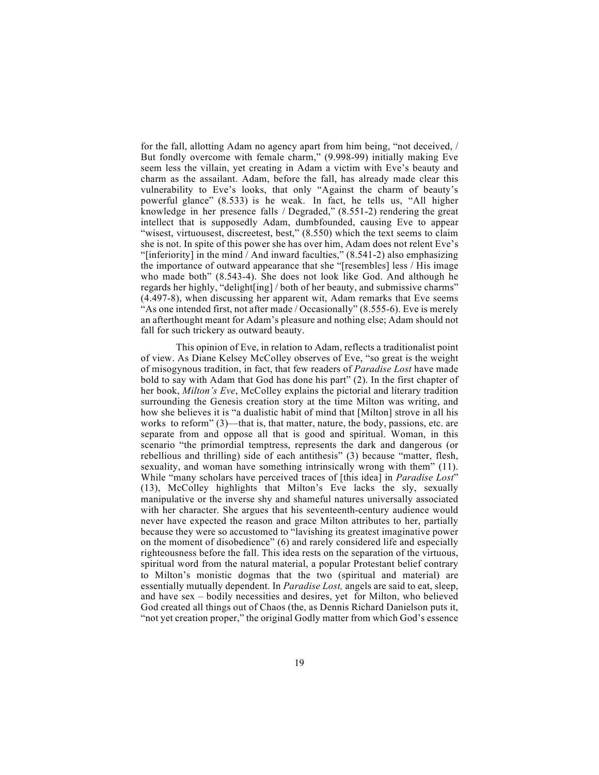for the fall, allotting Adam no agency apart from him being, "not deceived, / But fondly overcome with female charm," (9.998-99) initially making Eve seem less the villain, yet creating in Adam a victim with Eve's beauty and charm as the assailant. Adam, before the fall, has already made clear this vulnerability to Eve's looks, that only "Against the charm of beauty's powerful glance" (8.533) is he weak. In fact, he tells us, "All higher knowledge in her presence falls / Degraded," (8.551-2) rendering the great intellect that is supposedly Adam, dumbfounded, causing Eve to appear "wisest, virtuousest, discreetest, best," (8.550) which the text seems to claim she is not. In spite of this power she has over him, Adam does not relent Eve's "[inferiority] in the mind / And inward faculties," (8.541-2) also emphasizing the importance of outward appearance that she "[resembles] less / His image who made both" (8.543-4). She does not look like God. And although he regards her highly, "delight[ing] / both of her beauty, and submissive charms" (4.497-8), when discussing her apparent wit, Adam remarks that Eve seems "As one intended first, not after made / Occasionally" (8.555-6). Eve is merely an afterthought meant for Adam's pleasure and nothing else; Adam should not fall for such trickery as outward beauty.

This opinion of Eve, in relation to Adam, reflects a traditionalist point of view. As Diane Kelsey McColley observes of Eve, "so great is the weight of misogynous tradition, in fact, that few readers of *Paradise Lost* have made bold to say with Adam that God has done his part" (2). In the first chapter of her book, *Milton's Eve*, McColley explains the pictorial and literary tradition surrounding the Genesis creation story at the time Milton was writing, and how she believes it is "a dualistic habit of mind that [Milton] strove in all his works to reform" (3)—that is, that matter, nature, the body, passions, etc. are separate from and oppose all that is good and spiritual. Woman, in this scenario "the primordial temptress, represents the dark and dangerous (or rebellious and thrilling) side of each antithesis" (3) because "matter, flesh, sexuality, and woman have something intrinsically wrong with them" (11). While "many scholars have perceived traces of [this idea] in *Paradise Lost*" (13), McColley highlights that Milton's Eve lacks the sly, sexually manipulative or the inverse shy and shameful natures universally associated with her character. She argues that his seventeenth-century audience would never have expected the reason and grace Milton attributes to her, partially because they were so accustomed to "lavishing its greatest imaginative power on the moment of disobedience" (6) and rarely considered life and especially righteousness before the fall. This idea rests on the separation of the virtuous, spiritual word from the natural material, a popular Protestant belief contrary to Milton's monistic dogmas that the two (spiritual and material) are essentially mutually dependent. In *Paradise Lost,* angels are said to eat, sleep, and have sex – bodily necessities and desires, yet for Milton, who believed God created all things out of Chaos (the, as Dennis Richard Danielson puts it, "not yet creation proper," the original Godly matter from which God's essence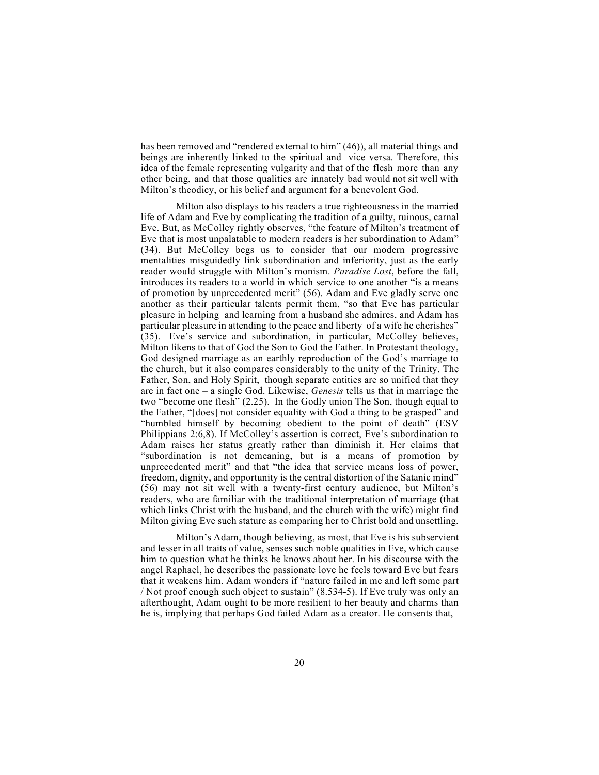has been removed and "rendered external to him" (46)), all material things and beings are inherently linked to the spiritual and vice versa. Therefore, this idea of the female representing vulgarity and that of the flesh more than any other being, and that those qualities are innately bad would not sit well with Milton's theodicy, or his belief and argument for a benevolent God.

Milton also displays to his readers a true righteousness in the married life of Adam and Eve by complicating the tradition of a guilty, ruinous, carnal Eve. But, as McColley rightly observes, "the feature of Milton's treatment of Eve that is most unpalatable to modern readers is her subordination to Adam" (34). But McColley begs us to consider that our modern progressive mentalities misguidedly link subordination and inferiority, just as the early reader would struggle with Milton's monism. *Paradise Lost*, before the fall, introduces its readers to a world in which service to one another "is a means of promotion by unprecedented merit" (56). Adam and Eve gladly serve one another as their particular talents permit them, "so that Eve has particular pleasure in helping and learning from a husband she admires, and Adam has particular pleasure in attending to the peace and liberty of a wife he cherishes" (35). Eve's service and subordination, in particular, McColley believes, Milton likens to that of God the Son to God the Father. In Protestant theology, God designed marriage as an earthly reproduction of the God's marriage to the church, but it also compares considerably to the unity of the Trinity. The Father, Son, and Holy Spirit, though separate entities are so unified that they are in fact one – a single God. Likewise, *Genesis* tells us that in marriage the two "become one flesh" (2.25). In the Godly union The Son, though equal to the Father, "[does] not consider equality with God a thing to be grasped" and "humbled himself by becoming obedient to the point of death" (ESV Philippians 2:6,8). If McColley's assertion is correct, Eve's subordination to Adam raises her status greatly rather than diminish it. Her claims that "subordination is not demeaning, but is a means of promotion by unprecedented merit" and that "the idea that service means loss of power, freedom, dignity, and opportunity is the central distortion of the Satanic mind" (56) may not sit well with a twenty-first century audience, but Milton's readers, who are familiar with the traditional interpretation of marriage (that which links Christ with the husband, and the church with the wife) might find Milton giving Eve such stature as comparing her to Christ bold and unsettling.

Milton's Adam, though believing, as most, that Eve is his subservient and lesser in all traits of value, senses such noble qualities in Eve, which cause him to question what he thinks he knows about her. In his discourse with the angel Raphael, he describes the passionate love he feels toward Eve but fears that it weakens him. Adam wonders if "nature failed in me and left some part / Not proof enough such object to sustain" (8.534-5). If Eve truly was only an afterthought, Adam ought to be more resilient to her beauty and charms than he is, implying that perhaps God failed Adam as a creator. He consents that,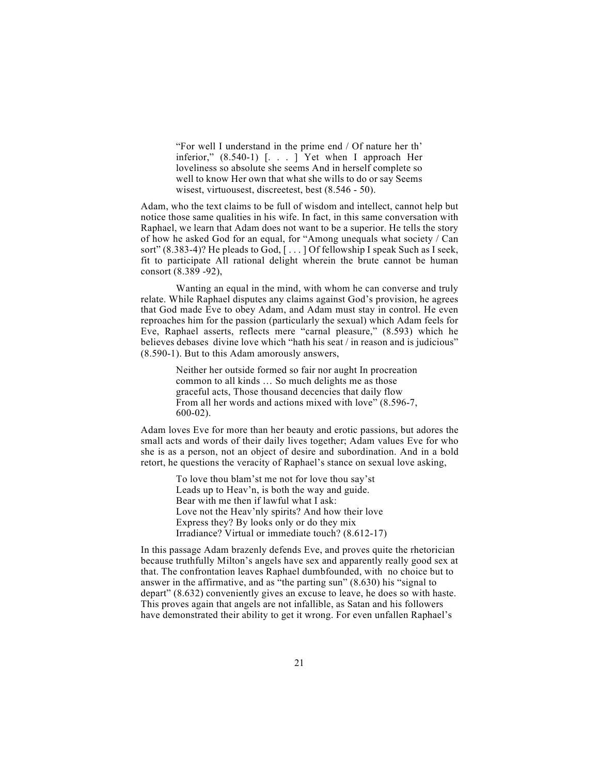"For well I understand in the prime end / Of nature her th' inferior," (8.540-1) [. . . ] Yet when I approach Her loveliness so absolute she seems And in herself complete so well to know Her own that what she wills to do or say Seems wisest, virtuousest, discreetest, best (8.546 - 50).

Adam, who the text claims to be full of wisdom and intellect, cannot help but notice those same qualities in his wife. In fact, in this same conversation with Raphael, we learn that Adam does not want to be a superior. He tells the story of how he asked God for an equal, for "Among unequals what society / Can sort" (8.383-4)? He pleads to God, [ . . . ] Of fellowship I speak Such as I seek, fit to participate All rational delight wherein the brute cannot be human consort (8.389 -92),

Wanting an equal in the mind, with whom he can converse and truly relate. While Raphael disputes any claims against God's provision, he agrees that God made Eve to obey Adam, and Adam must stay in control. He even reproaches him for the passion (particularly the sexual) which Adam feels for Eve, Raphael asserts, reflects mere "carnal pleasure," (8.593) which he believes debases divine love which "hath his seat / in reason and is judicious" (8.590-1). But to this Adam amorously answers,

> Neither her outside formed so fair nor aught In procreation common to all kinds … So much delights me as those graceful acts, Those thousand decencies that daily flow From all her words and actions mixed with love" (8.596-7, 600-02).

Adam loves Eve for more than her beauty and erotic passions, but adores the small acts and words of their daily lives together; Adam values Eve for who she is as a person, not an object of desire and subordination. And in a bold retort, he questions the veracity of Raphael's stance on sexual love asking,

> To love thou blam'st me not for love thou say'st Leads up to Heav'n, is both the way and guide. Bear with me then if lawful what I ask: Love not the Heav'nly spirits? And how their love Express they? By looks only or do they mix Irradiance? Virtual or immediate touch? (8.612-17)

In this passage Adam brazenly defends Eve, and proves quite the rhetorician because truthfully Milton's angels have sex and apparently really good sex at that. The confrontation leaves Raphael dumbfounded, with no choice but to answer in the affirmative, and as "the parting sun" (8.630) his "signal to depart" (8.632) conveniently gives an excuse to leave, he does so with haste. This proves again that angels are not infallible, as Satan and his followers have demonstrated their ability to get it wrong. For even unfallen Raphael's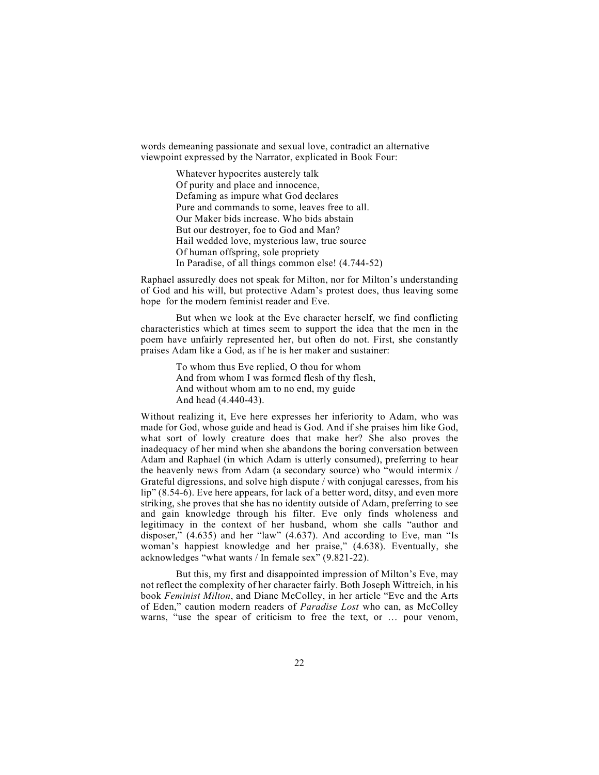words demeaning passionate and sexual love, contradict an alternative viewpoint expressed by the Narrator, explicated in Book Four:

> Whatever hypocrites austerely talk Of purity and place and innocence, Defaming as impure what God declares Pure and commands to some, leaves free to all. Our Maker bids increase. Who bids abstain But our destroyer, foe to God and Man? Hail wedded love, mysterious law, true source Of human offspring, sole propriety In Paradise, of all things common else! (4.744-52)

Raphael assuredly does not speak for Milton, nor for Milton's understanding of God and his will, but protective Adam's protest does, thus leaving some hope for the modern feminist reader and Eve.

But when we look at the Eve character herself, we find conflicting characteristics which at times seem to support the idea that the men in the poem have unfairly represented her, but often do not. First, she constantly praises Adam like a God, as if he is her maker and sustainer:

> To whom thus Eve replied, O thou for whom And from whom I was formed flesh of thy flesh, And without whom am to no end, my guide And head (4.440-43).

Without realizing it, Eve here expresses her inferiority to Adam, who was made for God, whose guide and head is God. And if she praises him like God, what sort of lowly creature does that make her? She also proves the inadequacy of her mind when she abandons the boring conversation between Adam and Raphael (in which Adam is utterly consumed), preferring to hear the heavenly news from Adam (a secondary source) who "would intermix / Grateful digressions, and solve high dispute / with conjugal caresses, from his lip" (8.54-6). Eve here appears, for lack of a better word, ditsy, and even more striking, she proves that she has no identity outside of Adam, preferring to see and gain knowledge through his filter. Eve only finds wholeness and legitimacy in the context of her husband, whom she calls "author and disposer," (4.635) and her "law" (4.637). And according to Eve, man "Is woman's happiest knowledge and her praise," (4.638). Eventually, she acknowledges "what wants / In female sex" (9.821-22).

But this, my first and disappointed impression of Milton's Eve, may not reflect the complexity of her character fairly. Both Joseph Wittreich, in his book *Feminist Milton*, and Diane McColley, in her article "Eve and the Arts of Eden," caution modern readers of *Paradise Lost* who can, as McColley warns, "use the spear of criticism to free the text, or … pour venom,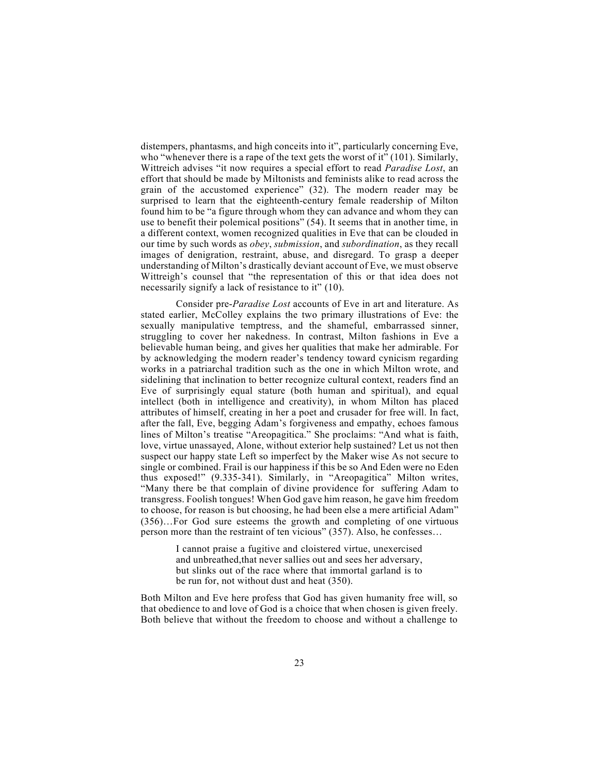distempers, phantasms, and high conceits into it", particularly concerning Eve, who "whenever there is a rape of the text gets the worst of it"  $(101)$ . Similarly, Wittreich advises "it now requires a special effort to read *Paradise Lost*, an effort that should be made by Miltonists and feminists alike to read across the grain of the accustomed experience" (32). The modern reader may be surprised to learn that the eighteenth-century female readership of Milton found him to be "a figure through whom they can advance and whom they can use to benefit their polemical positions" (54). It seems that in another time, in a different context, women recognized qualities in Eve that can be clouded in our time by such words as *obey*, *submission*, and *subordination*, as they recall images of denigration, restraint, abuse, and disregard. To grasp a deeper understanding of Milton's drastically deviant account of Eve, we must observe Wittreigh's counsel that "the representation of this or that idea does not necessarily signify a lack of resistance to it" (10).

Consider pre-*Paradise Lost* accounts of Eve in art and literature. As stated earlier, McColley explains the two primary illustrations of Eve: the sexually manipulative temptress, and the shameful, embarrassed sinner, struggling to cover her nakedness. In contrast, Milton fashions in Eve a believable human being, and gives her qualities that make her admirable. For by acknowledging the modern reader's tendency toward cynicism regarding works in a patriarchal tradition such as the one in which Milton wrote, and sidelining that inclination to better recognize cultural context, readers find an Eve of surprisingly equal stature (both human and spiritual), and equal intellect (both in intelligence and creativity), in whom Milton has placed attributes of himself, creating in her a poet and crusader for free will. In fact, after the fall, Eve, begging Adam's forgiveness and empathy, echoes famous lines of Milton's treatise "Areopagitica." She proclaims: "And what is faith, love, virtue unassayed, Alone, without exterior help sustained? Let us not then suspect our happy state Left so imperfect by the Maker wise As not secure to single or combined. Frail is our happiness if this be so And Eden were no Eden thus exposed!" (9.335-341). Similarly, in "Areopagitica" Milton writes, "Many there be that complain of divine providence for suffering Adam to transgress. Foolish tongues! When God gave him reason, he gave him freedom to choose, for reason is but choosing, he had been else a mere artificial Adam" (356)…For God sure esteems the growth and completing of one virtuous person more than the restraint of ten vicious" (357). Also, he confesses…

> I cannot praise a fugitive and cloistered virtue, unexercised and unbreathed,that never sallies out and sees her adversary, but slinks out of the race where that immortal garland is to be run for, not without dust and heat (350).

Both Milton and Eve here profess that God has given humanity free will, so that obedience to and love of God is a choice that when chosen is given freely. Both believe that without the freedom to choose and without a challenge to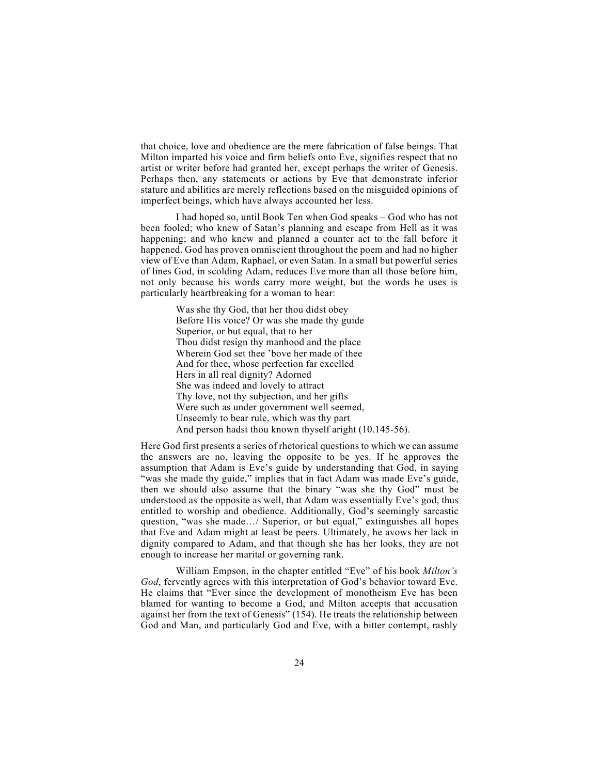that choice, love and obedience are the mere fabrication of false beings. That Milton imparted his voice and firm beliefs onto Eve, signifies respect that no artist or writer before had granted her, except perhaps the writer of Genesis. Perhaps then, any statements or actions by Eve that demonstrate inferior stature and abilities are merely reflections based on the misguided opinions of imperfect beings, which have always accounted her less.

I had hoped so, until Book Ten when God speaks – God who has not been fooled; who knew of Satan's planning and escape from Hell as it was happening; and who knew and planned a counter act to the fall before it happened. God has proven omniscient throughout the poem and had no higher view of Eve than Adam, Raphael, or even Satan. In a small but powerful series of lines God, in scolding Adam, reduces Eve more than all those before him, not only because his words carry more weight, but the words he uses is particularly heartbreaking for a woman to hear:

> Was she thy God, that her thou didst obey Before His voice? Or was she made thy guide Superior, or but equal, that to her Thou didst resign thy manhood and the place Wherein God set thee 'bove her made of thee And for thee, whose perfection far excelled Hers in all real dignity? Adorned She was indeed and lovely to attract Thy love, not thy subjection, and her gifts Were such as under government well seemed, Unseemly to bear rule, which was thy part And person hadst thou known thyself aright (10.145-56).

Here God first presents a series of rhetorical questions to which we can assume the answers are no, leaving the opposite to be yes. If he approves the assumption that Adam is Eve's guide by understanding that God, in saying "was she made thy guide," implies that in fact Adam was made Eve's guide, then we should also assume that the binary "was she thy God" must be understood as the opposite as well, that Adam was essentially Eve's god, thus entitled to worship and obedience. Additionally, God's seemingly sarcastic question, "was she made…/ Superior, or but equal," extinguishes all hopes that Eve and Adam might at least be peers. Ultimately, he avows her lack in dignity compared to Adam, and that though she has her looks, they are not enough to increase her marital or governing rank.

William Empson, in the chapter entitled "Eve" of his book *Milton's God*, fervently agrees with this interpretation of God's behavior toward Eve. He claims that "Ever since the development of monotheism Eve has been blamed for wanting to become a God, and Milton accepts that accusation against her from the text of Genesis" (154). He treats the relationship between God and Man, and particularly God and Eve, with a bitter contempt, rashly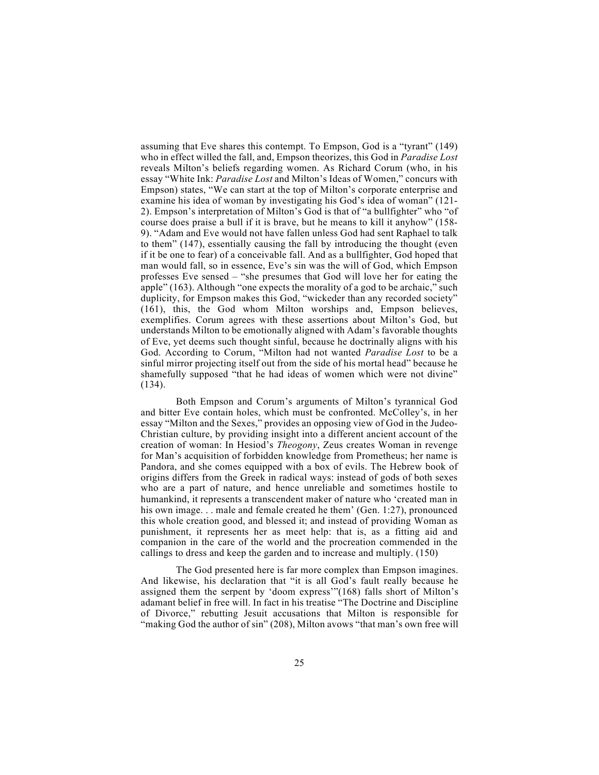assuming that Eve shares this contempt. To Empson, God is a "tyrant" (149) who in effect willed the fall, and, Empson theorizes, this God in *Paradise Lost*  reveals Milton's beliefs regarding women. As Richard Corum (who, in his essay "White Ink: *Paradise Lost* and Milton's Ideas of Women," concurs with Empson) states, "We can start at the top of Milton's corporate enterprise and examine his idea of woman by investigating his God's idea of woman" (121- 2). Empson's interpretation of Milton's God is that of "a bullfighter" who "of course does praise a bull if it is brave, but he means to kill it anyhow" (158- 9). "Adam and Eve would not have fallen unless God had sent Raphael to talk to them" (147), essentially causing the fall by introducing the thought (even if it be one to fear) of a conceivable fall. And as a bullfighter, God hoped that man would fall, so in essence, Eve's sin was the will of God, which Empson professes Eve sensed – "she presumes that God will love her for eating the apple" (163). Although "one expects the morality of a god to be archaic," such duplicity, for Empson makes this God, "wickeder than any recorded society" (161), this, the God whom Milton worships and, Empson believes, exemplifies. Corum agrees with these assertions about Milton's God, but understands Milton to be emotionally aligned with Adam's favorable thoughts of Eve, yet deems such thought sinful, because he doctrinally aligns with his God. According to Corum, "Milton had not wanted *Paradise Lost* to be a sinful mirror projecting itself out from the side of his mortal head" because he shamefully supposed "that he had ideas of women which were not divine" (134).

Both Empson and Corum's arguments of Milton's tyrannical God and bitter Eve contain holes, which must be confronted. McColley's, in her essay "Milton and the Sexes," provides an opposing view of God in the Judeo-Christian culture, by providing insight into a different ancient account of the creation of woman: In Hesiod's *Theogony*, Zeus creates Woman in revenge for Man's acquisition of forbidden knowledge from Prometheus; her name is Pandora, and she comes equipped with a box of evils. The Hebrew book of origins differs from the Greek in radical ways: instead of gods of both sexes who are a part of nature, and hence unreliable and sometimes hostile to humankind, it represents a transcendent maker of nature who 'created man in his own image. . . male and female created he them' (Gen. 1:27), pronounced this whole creation good, and blessed it; and instead of providing Woman as punishment, it represents her as meet help: that is, as a fitting aid and companion in the care of the world and the procreation commended in the callings to dress and keep the garden and to increase and multiply. (150)

The God presented here is far more complex than Empson imagines. And likewise, his declaration that "it is all God's fault really because he assigned them the serpent by 'doom express'"(168) falls short of Milton's adamant belief in free will. In fact in his treatise "The Doctrine and Discipline of Divorce," rebutting Jesuit accusations that Milton is responsible for "making God the author of sin" (208), Milton avows "that man's own free will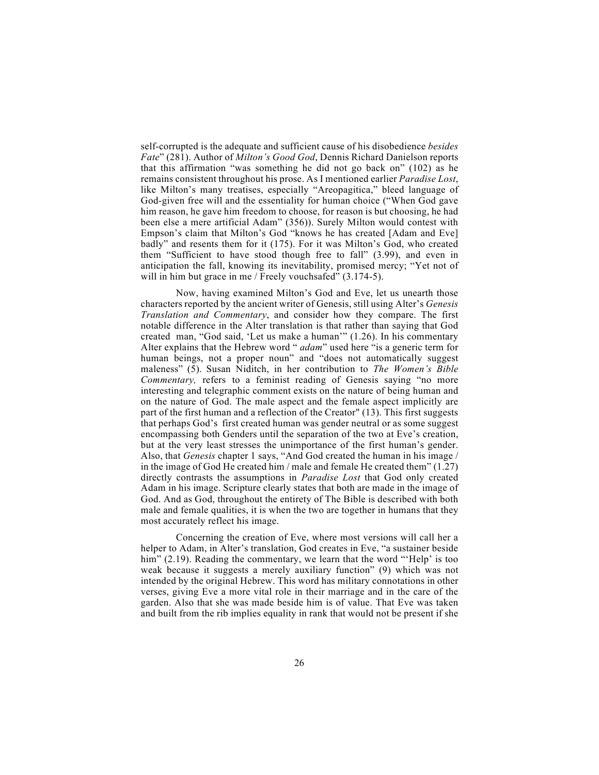self-corrupted is the adequate and sufficient cause of his disobedience *besides Fate*" (281). Author of *Milton's Good God*, Dennis Richard Danielson reports that this affirmation "was something he did not go back on" (102) as he remains consistent throughout his prose. As I mentioned earlier *Paradise Lost*, like Milton's many treatises, especially "Areopagitica," bleed language of God-given free will and the essentiality for human choice ("When God gave him reason, he gave him freedom to choose, for reason is but choosing, he had been else a mere artificial Adam" (356)). Surely Milton would contest with Empson's claim that Milton's God "knows he has created [Adam and Eve] badly" and resents them for it (175). For it was Milton's God, who created them "Sufficient to have stood though free to fall" (3.99), and even in anticipation the fall, knowing its inevitability, promised mercy; "Yet not of will in him but grace in me / Freely vouchsafed" (3.174-5).

Now, having examined Milton's God and Eve, let us unearth those characters reported by the ancient writer of Genesis, still using Alter's *Genesis Translation and Commentary*, and consider how they compare. The first notable difference in the Alter translation is that rather than saying that God created man, "God said, 'Let us make a human'" (1.26). In his commentary Alter explains that the Hebrew word " *adam*" used here "is a generic term for human beings, not a proper noun" and "does not automatically suggest maleness" (5). Susan Niditch, in her contribution to *The Women's Bible Commentary,* refers to a feminist reading of Genesis saying "no more interesting and telegraphic comment exists on the nature of being human and on the nature of God. The male aspect and the female aspect implicitly are part of the first human and a reflection of the Creator" (13). This first suggests that perhaps God's first created human was gender neutral or as some suggest encompassing both Genders until the separation of the two at Eve's creation, but at the very least stresses the unimportance of the first human's gender. Also, that *Genesis* chapter 1 says, "And God created the human in his image / in the image of God He created him / male and female He created them" (1.27) directly contrasts the assumptions in *Paradise Lost* that God only created Adam in his image. Scripture clearly states that both are made in the image of God. And as God, throughout the entirety of The Bible is described with both male and female qualities, it is when the two are together in humans that they most accurately reflect his image.

Concerning the creation of Eve, where most versions will call her a helper to Adam, in Alter's translation, God creates in Eve, "a sustainer beside him" (2.19). Reading the commentary, we learn that the word "'Help' is too weak because it suggests a merely auxiliary function" (9) which was not intended by the original Hebrew. This word has military connotations in other verses, giving Eve a more vital role in their marriage and in the care of the garden. Also that she was made beside him is of value. That Eve was taken and built from the rib implies equality in rank that would not be present if she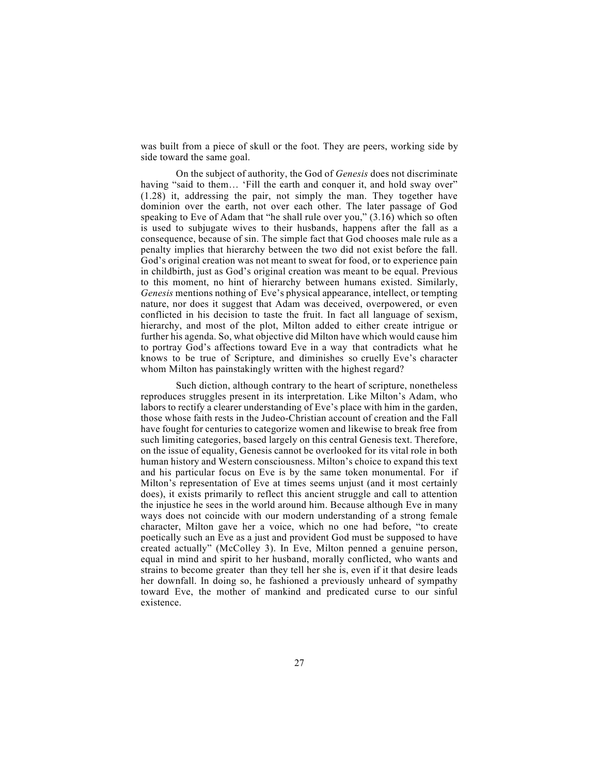was built from a piece of skull or the foot. They are peers, working side by side toward the same goal.

On the subject of authority, the God of *Genesis* does not discriminate having "said to them... 'Fill the earth and conquer it, and hold sway over" (1.28) it, addressing the pair, not simply the man. They together have dominion over the earth, not over each other. The later passage of God speaking to Eve of Adam that "he shall rule over you," (3.16) which so often is used to subjugate wives to their husbands, happens after the fall as a consequence, because of sin. The simple fact that God chooses male rule as a penalty implies that hierarchy between the two did not exist before the fall. God's original creation was not meant to sweat for food, or to experience pain in childbirth, just as God's original creation was meant to be equal. Previous to this moment, no hint of hierarchy between humans existed. Similarly, *Genesis* mentions nothing of Eve's physical appearance, intellect, or tempting nature, nor does it suggest that Adam was deceived, overpowered, or even conflicted in his decision to taste the fruit. In fact all language of sexism, hierarchy, and most of the plot, Milton added to either create intrigue or further his agenda. So, what objective did Milton have which would cause him to portray God's affections toward Eve in a way that contradicts what he knows to be true of Scripture, and diminishes so cruelly Eve's character whom Milton has painstakingly written with the highest regard?

Such diction, although contrary to the heart of scripture, nonetheless reproduces struggles present in its interpretation. Like Milton's Adam, who labors to rectify a clearer understanding of Eve's place with him in the garden, those whose faith rests in the Judeo-Christian account of creation and the Fall have fought for centuries to categorize women and likewise to break free from such limiting categories, based largely on this central Genesis text. Therefore, on the issue of equality, Genesis cannot be overlooked for its vital role in both human history and Western consciousness. Milton's choice to expand this text and his particular focus on Eve is by the same token monumental. For if Milton's representation of Eve at times seems unjust (and it most certainly does), it exists primarily to reflect this ancient struggle and call to attention the injustice he sees in the world around him. Because although Eve in many ways does not coincide with our modern understanding of a strong female character, Milton gave her a voice, which no one had before, "to create poetically such an Eve as a just and provident God must be supposed to have created actually" (McColley 3). In Eve, Milton penned a genuine person, equal in mind and spirit to her husband, morally conflicted, who wants and strains to become greater than they tell her she is, even if it that desire leads her downfall. In doing so, he fashioned a previously unheard of sympathy toward Eve, the mother of mankind and predicated curse to our sinful existence.